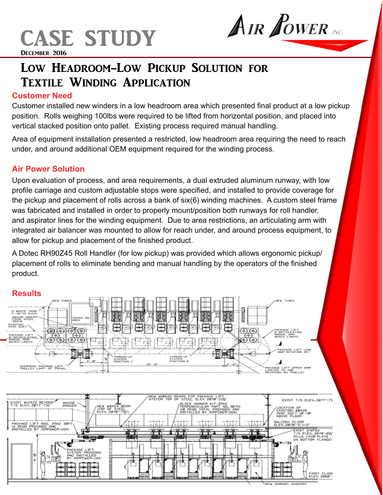

# AIR POWER

## Low Headroom-Low Pickup Solution for Textile Winding Application

### **Customer Need**

Customer installed new winders in a low headroom area which presented final product at a low pickup position. Rolls weighing 100lbs were required to be lifted from horizontal position, and placed into vertical stacked position onto pallet. Existing process required manual handling.

Area of equipment installation presented a restricted, low headroom area requiring the need to reach under, and around additional OEM equipment required for the winding process.

### **Air Power Solution**

Upon evaluation of process, and area requirements, a dual extruded aluminum runway, with low profile carriage and custom adjustable stops were specified, and installed to provide coverage for the pickup and placement of rolls across a bank of six(6) winding machines. A custom steel frame was fabricated and installed in order to properly mount/position both runways for roll handler, and aspirator lines for the winding equipment. Due to area restrictions, an articulating arm with integrated air balancer was mounted to allow for reach under, and around process equipment, to allow for pickup and placement of the finished product.

A Dotec RH90Z45 Roll Handler (for low pickup) was provided which allows ergonomic pickup/ placement of rolls to eliminate bending and manual handling by the operators of the finished product.



#### **Results**